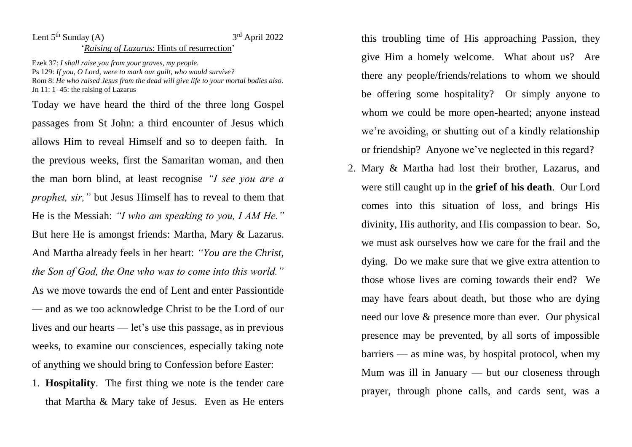## Lent  $5<sup>th</sup>$  Sunday (A)  $3<sup>rd</sup>$  April 2022 '*Raising of Lazarus*: Hints of resurrection'

Ezek 37: *I shall raise you from your graves, my people.* Ps 129: *If you, O Lord, were to mark our guilt, who would survive?* Rom 8: *He who raised Jesus from the dead will give life to your mortal bodies also*. Jn 11: 1–45: the raising of Lazarus

Today we have heard the third of the three long Gospel passages from St John: a third encounter of Jesus which allows Him to reveal Himself and so to deepen faith. In the previous weeks, first the Samaritan woman, and then the man born blind, at least recognise *"I see you are a prophet, sir,"* but Jesus Himself has to reveal to them that He is the Messiah: *"I who am speaking to you, I AM He."* But here He is amongst friends: Martha, Mary & Lazarus. And Martha already feels in her heart: *"You are the Christ, the Son of God, the One who was to come into this world."* As we move towards the end of Lent and enter Passiontide — and as we too acknowledge Christ to be the Lord of our lives and our hearts — let's use this passage, as in previous weeks, to examine our consciences, especially taking note of anything we should bring to Confession before Easter:

1. **Hospitality**. The first thing we note is the tender care that Martha & Mary take of Jesus. Even as He enters this troubling time of His approaching Passion, they give Him a homely welcome. What about us? Are there any people/friends/relations to whom we should be offering some hospitality? Or simply anyone to whom we could be more open-hearted; anyone instead we're avoiding, or shutting out of a kindly relationship or friendship? Anyone we've neglected in this regard?

2. Mary & Martha had lost their brother, Lazarus, and were still caught up in the **grief of his death**. Our Lord comes into this situation of loss, and brings His divinity, His authority, and His compassion to bear. So, we must ask ourselves how we care for the frail and the dying. Do we make sure that we give extra attention to those whose lives are coming towards their end? We may have fears about death, but those who are dying need our love & presence more than ever. Our physical presence may be prevented, by all sorts of impossible barriers — as mine was, by hospital protocol, when my Mum was ill in January — but our closeness through prayer, through phone calls, and cards sent, was a